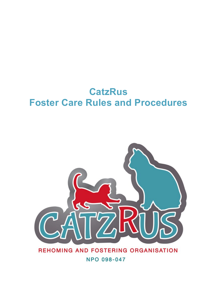# **CatzRus Foster Care Rules and Procedures**



### REHOMING AND FOSTERING ORGANISATION

**NPO 098-047**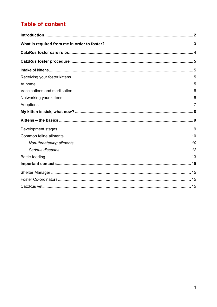# **Table of content**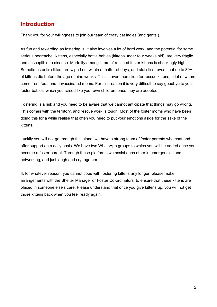## <span id="page-2-0"></span>**Introduction**

Thank you for your willingness to join our team of crazy cat ladies (and gents!).

As fun and rewarding as fostering is, it also involves a lot of hard work, and the potential for some serious heartache. Kittens, especially bottle babies (kittens under four weeks old), are very fragile and susceptible to disease. Mortality among litters of rescued foster kittens is shockingly high. Sometimes entire litters are wiped out within a matter of days, and statistics reveal that up to 30% of kittens die before the age of nine weeks. This is even more true for rescue kittens, a lot of whom come from feral and unvaccinated moms. For this reason it is very difficult to say goodbye to your foster babies, which you raised like your own children, once they are adopted.

Fostering is a risk and you need to be aware that we cannot anticipate that things may go wrong. This comes with the territory, and rescue work is tough. Most of the foster moms who have been doing this for a while realise that often you need to put your emotions aside for the sake of the kittens.

Luckily you will not go through this alone, we have a strong team of foster parents who chat and offer support on a daily basis. We have two WhatsApp groups to which you will be added once you become a foster parent. Through these platforms we assist each other in emergencies and networking, and just laugh and cry together.

If, for whatever reason, you cannot cope with fostering kittens any longer, please make arrangements with the Shelter Manager or Foster Co-ordinators, to ensure that these kittens are placed in someone else's care. Please understand that once you give kittens up, you will not get those kittens back when you feel ready again.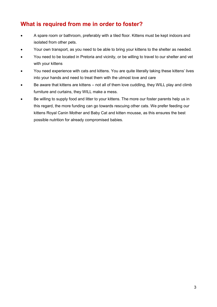## <span id="page-3-0"></span>**What is required from me in order to foster?**

- A spare room or bathroom, preferably with a tiled floor. Kittens must be kept indoors and isolated from other pets.
- Your own transport, as you need to be able to bring your kittens to the shelter as needed.
- You need to be located in Pretoria and vicinity, or be willing to travel to our shelter and vet with your kittens
- You need experience with cats and kittens. You are quite literally taking these kittens' lives into your hands and need to treat them with the utmost love and care
- Be aware that kittens are kittens not all of them love cuddling, they WILL play and climb furniture and curtains, they WILL make a mess.
- Be willing to supply food and litter to your kittens. The more our foster parents help us in this regard, the more funding can go towards rescuing other cats. We prefer feeding our kittens Royal Canin Mother and Baby Cat and kitten mousse, as this ensures the best possible nutrition for already compromised babies.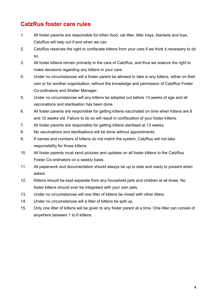# <span id="page-4-0"></span>**CatzRus foster care rules**

- 1. All foster parents are responsible for kitten food, cat litter, litter trays, blankets and toys. CatzRus will help out if and when we can.
- 2. CatzRus reserves the right to confiscate kittens from your care if we think it necessary to do so.
- 3. All foster kittens remain primarily in the care of CatzRus, and thus we reserve the right to make decisions regarding any kittens in your care.
- 4. Under no circumstances will a foster parent be allowed to take in any kittens, either on their own or for another organisation, without the knowledge and permission of CatzRus Foster Co-ordinators and Shelter Manager.
- 5. Under no circumstances will any kittens be adopted out before 13 weeks of age and all vaccinations and sterilisation has been done.
- 6. All foster parents are responsible for getting kittens vaccinated on time when kittens are 8 and 12 weeks old. Failure to do so will result in confiscation of your foster kittens.
- 7. All foster parents are responsible for getting kittens sterilised at 13 weeks.
- 8. No vaccinations and sterilisations will be done without appointments.
- 9. If names and numbers of kittens do not match the system, CatzRus will not take responsibility for those kittens.
- 10. All foster parents must send pictures and updates on all foster kittens to the CatzRus Foster Co-ordinators on a weekly basis.
- 11. All paperwork and documentation should always be up to date and ready to present when asked.
- 12. Kittens should be kept separate from any household pets and children at all times. No foster kittens should ever be integrated with your own pets.
- 13. Under no circumstances will one litter of kittens be mixed with other litters.
- 14. Under no circumstances will a litter of kittens be split up.
- 15. Only one litter of kittens will be given to any foster parent at a time. One litter can consist of anywhere between 1 to 6 kittens.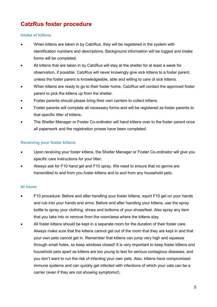# <span id="page-5-0"></span>**CatzRus foster procedure**

#### <span id="page-5-1"></span>**Intake of kittens**

- When kittens are taken in by CatzRus, they will be registered in the system with identification numbers and descriptions. Background information will be logged and intake forms will be completed.
- All kittens that are taken in by CatzRus will stay at the shelter for at least a week for observation, if possible. CatzRus will never knowingly give sick kittens to a foster parent, unless the foster parent is knowledgeable, able and willing to care of sick kittens.
- When kittens are ready to go to their foster home, CatzRus will contact the approved foster parent to pick the kittens up from the shelter.
- Foster parents should please bring their own carriers to collect kittens.
- Foster parents will complete all necessary forms and will be registered as foster parents to that specific litter of kittens.
- The Shelter Manager or Foster Co-ordinator will hand kittens over to the foster parent once all paperwork and the registration proses have been completed.

#### <span id="page-5-2"></span>**Receiving your foster kittens**

- Upon receiving your foster kittens, the Shelter Manager or Foster Co-ordinator will give you specific care instructions for your litter.
- Always ask for F10 hand gel and F10 spray. We need to ensure that no germs are transmitted to and from you foster kittens and to and from any household pets.

#### <span id="page-5-3"></span>**At home**

- F10 procedure: Before and after handling your foster kittens, squirt F10 gel on your hands and rub into your hands and arms. Before and after handling your kittens, use the spray bottle to spray your clothing, shoes and bottoms of your shoes/feet. Also spray any item that you take into or remove from the room/area where the kittens stay.
- All foster kittens should be kept in a separate room for the duration of their foster care. Always make sure that the kittens cannot get out of the room that they are kept in and that your own pets cannot get in. Remember that kittens can jump very high and squeeze through small holes, so keep windows closed! It is very important to keep foster kittens and household pets apart as kittens are too young to test for serious contagious diseases, and you don't want to run the risk of infecting your own pets. Also, kittens have compromised immune systems and can quickly get infected with infections of which your cats can be a carrier (even if they are not showing symptoms!).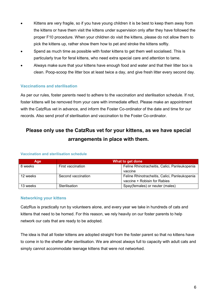- Kittens are very fragile, so if you have young children it is be best to keep them away from the kittens or have them visit the kittens under supervision only after they have followed the proper F10 procedure. When your children do visit the kittens, please do not allow them to pick the kittens up, rather show them how to pet and stroke the kittens softly.
- Spend as much time as possible with foster kittens to get them well socialised. This is particularly true for feral kittens, who need extra special care and attention to tame.
- Always make sure that your kittens have enough food and water and that their litter box is clean. Poop-scoop the litter box at least twice a day, and give fresh litter every second day.

#### <span id="page-6-0"></span>**Vaccinations and sterilisation**

As per our rules, foster parents need to adhere to the vaccination and sterilisation schedule. If not, foster kittens will be removed from your care with immediate effect. Please make an appointment with the CatzRus vet in advance, and inform the Foster Co-ordinator of the date and time for our records. Also send proof of sterilisation and vaccination to the Foster Co-ordinator.

# **Please only use the CatzRus vet for your kittens, as we have special arrangements in place with them.**

| Age      | What to get done   |                                               |
|----------|--------------------|-----------------------------------------------|
| 8 weeks  | First vaccination  | Feline Rhinotracheitis, Calici, Panleukopenia |
|          |                    | vaccine                                       |
| 12 weeks | Second vaccination | Feline Rhinotracheitis, Calici, Panleukopenia |
|          |                    | vaccine + Robisin for Rabies                  |
| 13 weeks | Sterilisation      | Spay(females) or neuter (males)               |

#### **Vaccination and sterilisation schedule**

#### <span id="page-6-1"></span>**Networking your kittens**

CatzRus is practically run by volunteers alone, and every year we take in hundreds of cats and kittens that need to be homed. For this reason, we rely heavily on our foster parents to help network our cats that are ready to be adopted.

The idea is that all foster kittens are adopted straight from the foster parent so that no kittens have to come in to the shelter after sterilisation. We are almost always full to capacity with adult cats and simply cannot accommodate teenage kittens that were not networked.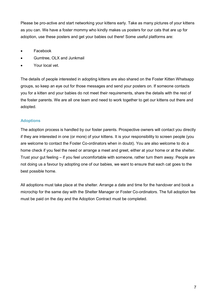Please be pro-active and start networking your kittens early. Take as many pictures of your kittens as you can. We have a foster mommy who kindly makes us posters for our cats that are up for adoption, use these posters and get your babies out there! Some useful platforms are:

- Facebook
- Gumtree, OLX and Junkmail
- Your local vet.

The details of people interested in adopting kittens are also shared on the Foster Kitten Whatsapp groups, so keep an eye out for those messages and send your posters on. If someone contacts you for a kitten and your babies do not meet their requirements, share the details with the rest of the foster parents. We are all one team and need to work together to get our kittens out there and adopted.

#### <span id="page-7-0"></span>**Adoptions**

The adoption process is handled by our foster parents. Prospective owners will contact you directly if they are interested in one (or more) of your kittens. It is your responsibility to screen people (you are welcome to contact the Foster Co-ordinators when in doubt). You are also welcome to do a home check if you feel the need or arrange a meet and greet, either at your home or at the shelter. Trust your gut feeling – if you feel uncomfortable with someone, rather turn them away. People are not doing us a favour by adopting one of our babies, we want to ensure that each cat goes to the best possible home.

All adoptions must take place at the shelter. Arrange a date and time for the handover and book a microchip for the same day with the Shelter Manager or Foster Co-ordinators. The full adoption fee must be paid on the day and the Adoption Contract must be completed.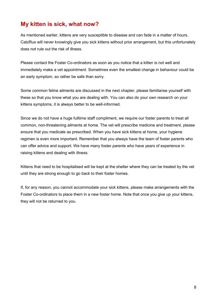# <span id="page-8-0"></span>**My kitten is sick, what now?**

As mentioned earlier, kittens are very susceptible to disease and can fade in a matter of hours. CatzRus will never knowingly give you sick kittens without prior arrangement, but this unfortunately does not rule out the risk of illness.

Please contact the Foster Co-ordinators as soon as you notice that a kitten is not well and immediately make a vet appointment. Sometimes even the smallest change in behaviour could be an early symptom, so rather be safe than sorry.

Some common feline ailments are discussed in the next chapter, please familiarise yourself with these so that you know what you are dealing with. You can also do your own research on your kittens symptoms, it is always better to be well-informed.

Since we do not have a huge fulltime staff compliment, we require our foster parents to treat all common, non-threatening ailments at home. The vet will prescribe medicine and treatment, please ensure that you medicate as prescribed. When you have sick kittens at home, your hygiene regimen is even more important. Remember that you always have the team of foster parents who can offer advice and support. We have many foster parents who have years of experience in raising kittens and dealing with illness.

Kittens that need to be hospitalised will be kept at the shelter where they can be treated by the vet until they are strong enough to go back to their foster homes.

If, for any reason, you cannot accommodate your sick kittens, please make arrangements with the Foster Co-ordinators to place them in a new foster home. Note that once you give up your kittens, they will not be returned to you.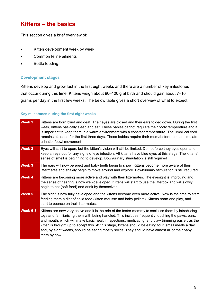### <span id="page-9-0"></span>**Kittens – the basics**

This section gives a brief overview of:

- Kitten development week by week
- Common feline ailments
- Bottle feeding.

#### <span id="page-9-1"></span>**Development stages**

Kittens develop and grow fast in the first eight weeks and there are a number of key milestones that occur during this time. Kittens weigh about 90–100 g at birth and should gain about 7–10 grams per day in the first few weeks. The below table gives a short overview of what to expect.

#### **Key milestones during the first eight weeks**

| Week 1        | Kittens are born blind and deaf. Their eyes are closed and their ears folded down. During the first<br>week, kittens basically sleep and eat. These babies cannot regulate their body temperature and it<br>is important to keep them in a warm environment with a constant temperature. The umbilical cord<br>remains attached for the first three days. These babies require their mom/foster mom to stimulate<br>urination/bowl movement                                                                                              |
|---------------|------------------------------------------------------------------------------------------------------------------------------------------------------------------------------------------------------------------------------------------------------------------------------------------------------------------------------------------------------------------------------------------------------------------------------------------------------------------------------------------------------------------------------------------|
| <b>Week 2</b> | Eyes will start to open, but the kitten's vision will still be limited. Do not force they eyes open and<br>keep an eye out for any signs of eye infection. All kittens have blue eyes at this stage. The kittens'<br>sense of smell is beginning to develop. Bowl/urinary stimulation is still required                                                                                                                                                                                                                                  |
| <b>Week 3</b> | The ears will now be erect and baby teeth begin to show. Kittens become more aware of their<br>littermates and shakily begin to move around and explore. Bowl/urinary stimulation is still required                                                                                                                                                                                                                                                                                                                                      |
| <b>Week 4</b> | Kittens are becoming more active and play with their littermates. The eyesight is improving and<br>the sense of hearing is now well-developed. Kittens will start to use the litterbox and will slowly<br>begin to eat (soft food) and drink by themselves                                                                                                                                                                                                                                                                               |
| <b>Week 5</b> | The sight is now fully developed and the kittens become even more active. Now is the time to start<br>feeding them a diet of solid food (kitten mousse and baby pellets). Kittens roam and play, and<br>start to pounce on their littermates.                                                                                                                                                                                                                                                                                            |
| Week 6-8      | Kittens are now very active and it is the role of the foster mommy to socialise them by introducing<br>toys and familiarising them with being handled. This includes frequently touching the paws, ears,<br>and mouth, which will make basic health inspections, medicating, and claw trimming easier, as the<br>kitten is brought up to accept this. At this stage, kittens should be eating four, small meals a day<br>and, by eight weeks, should be eating mostly solids. They should have almost all of their baby<br>teeth by now. |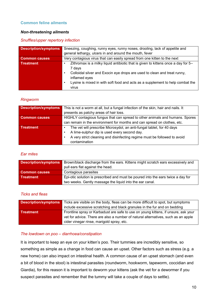#### <span id="page-10-0"></span>**Common feline ailments**

#### <span id="page-10-1"></span>*Non-threatening ailments*

#### *Snuffles/upper repertory infection*

| <b>Description/symptoms</b> | Sneezing, coughing, runny eyes, runny noses, drooling, lack of appetite and                                                                                                                                                                                                        |  |
|-----------------------------|------------------------------------------------------------------------------------------------------------------------------------------------------------------------------------------------------------------------------------------------------------------------------------|--|
|                             | general lethargy, ulcers in and around the mouth, fever                                                                                                                                                                                                                            |  |
| <b>Common causes</b>        | Very contagious virus that can easily spread from one kitten to the next                                                                                                                                                                                                           |  |
| <b>Treatment</b>            | Zithromax is a milky liquid antibiotic that is given to kittens once a day for 5-<br>7 days<br>Colloidal silver and Exocin eye drops are used to clean and treat runny,<br>inflamed eyes<br>Lysine is mixed in with soft food and acts as a supplement to help combat the<br>virus |  |

#### *Ringworm*

| <b>Description/symptoms</b> | This is not a worm at all, but a fungal infection of the skin, hair and nails. It |  |
|-----------------------------|-----------------------------------------------------------------------------------|--|
|                             | presents as patchy areas of hair loss.                                            |  |
| <b>Common causes</b>        | HIGHLY contagious fungus that can spread to other animals and humans. Spores      |  |
|                             | can remain in the environment for months and can spread on clothes, etc.          |  |
| Treatment                   | The vet will prescribe Microsydol, an anti-fungal tablet, for 40 days             |  |
|                             | A lime-sulphur dip is used every second day.                                      |  |
|                             | A very strict cleaning and disinfecting regime must be followed to avoid          |  |
|                             | contamination                                                                     |  |

#### *Ear mites*

| <b>Description/symptoms</b> | Brown/black discharge from the ears. Kittens might scratch ears excessively and<br>pull ears flat against the head. |
|-----------------------------|---------------------------------------------------------------------------------------------------------------------|
| <b>Common causes</b>        | Contagious parasites                                                                                                |
| <b>Treatment</b>            | Epi-otic solution is prescribed and must be poured into the ears twice a day for                                    |
|                             | two weeks. Gently massage the liquid into the ear canal.                                                            |

#### *Ticks and fleas*

| <b>Description/symptoms</b> | Ticks are visible on the body, fleas can be more difficult to spot, but symptoms   |
|-----------------------------|------------------------------------------------------------------------------------|
|                             | include excessive scratching and black granules in the fur and on bedding          |
| <b>Treatment</b>            | Frontline spray or Karbadust are safe to use on young kittens, if unsure, ask your |
|                             | vet for advice. There are also a number of natural alternatives, such as an apple  |
|                             | cider vinegar rinse, marigold spray, etc.                                          |

#### *The lowdown on poo – diarrhoea/constipation*

It is important to keep an eye on your kitten's poo. Their tummies are incredibly sensitive, so something as simple as a change in food can cause an upset. Other factors such as stress (e.g. a new home) can also impact on intestinal health. A common cause of an upset stomach (and even a bit of blood in the stool) is intestinal parasites (roundworm, hookworm, tapeworm, coccidian and Giardia), for this reason it is important to deworm your kittens (ask the vet for a dewormer if you suspect parasites and remember that the tummy will take a couple of days to settle).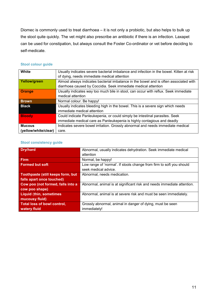Diomec is commonly used to treat diarrhoea – it is not only a probiotic, but also helps to bulk up the stool quite quickly. The vet might also prescribe an antibiotic if there is an infection. Laxapet can be used for constipation, but always consult the Foster Co-ordinator or vet before deciding to self-medicate.

| White                | Usually indicates severe bacterial imbalance and infection in the bowel. Kitten at risk |
|----------------------|-----------------------------------------------------------------------------------------|
|                      | of dying, needs immediate medical attention                                             |
| Yellow/green         | Almost always indicates bacterial imbalance in the bowel and is often associated with   |
|                      | diarrhoea caused by Coccidia. Seek immediate medical attention                          |
| <b>Orange</b>        | Usually indicates way too much bile in stool, can occur with reflux. Seek immediate     |
|                      | medical attention                                                                       |
| <b>Brown</b>         | Normal colour. Be happy!                                                                |
| <b>Black</b>         | Usually indicates bleeding high in the bowel. This is a severe sign which needs         |
|                      | immediate medical attention                                                             |
| <b>Bloody</b>        | Could indicate Panleukepenia, or could simply be intestinal parasites. Seek             |
|                      | immediate medical care as Panleukepenia is highly contagious and deadly                 |
| <b>Mucous</b>        | Indicates severe bowel irritation. Grossly abnormal and needs immediate medical         |
| (yellow/white/clear) | care.                                                                                   |

#### **Stool colour guide**

#### **Stool consistency guide**

| <b>Dry/hard</b>                          | Abnormal, usually indicates dehydration. Seek immediate medical        |
|------------------------------------------|------------------------------------------------------------------------|
|                                          | attention                                                              |
| <b>Firm</b>                              | Normal, be happy!                                                      |
| <b>Formed but soft</b>                   | Low range of 'normal'. If stools change from firm to soft you should   |
|                                          | seek medical advice.                                                   |
| <b>Toothpaste (still keeps form, but</b> | Abnormal, needs medication.                                            |
| falls apart once touched)                |                                                                        |
| Cow poo (not formed, falls into a        | Abnormal, animal is at significant risk and needs immediate attention. |
| cow poo shape)                           |                                                                        |
| <b>Liquid (thin, sometimes)</b>          | Abnormal, animal is at severe risk and must be seen immediately.       |
| mucousy fluid)                           |                                                                        |
| <b>Total loss of bowl control,</b>       | Grossly abnormal, animal in danger of dying, must be seen              |
| watery fluid                             | immediately!                                                           |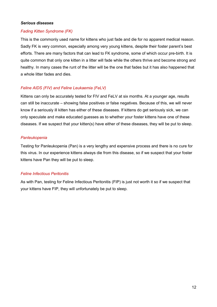#### <span id="page-12-0"></span>*Serious diseases*

#### *Fading Kitten Syndrome (FK)*

This is the commonly used name for kittens who just fade and die for no apparent medical reason. Sadly FK is very common, especially among very young kittens, despite their foster parent's best efforts. There are many factors that can lead to FK syndrome, some of which occur pre-birth. It is quite common that only one kitten in a litter will fade while the others thrive and become strong and healthy. In many cases the runt of the litter will be the one that fades but it has also happened that a whole litter fades and dies.

#### *Feline AIDS (FIV) and Feline Leukaemia (FeLV)*

Kittens can only be accurately tested for FIV and FeLV at six months. At a younger age, results can still be inaccurate – showing false positives or false negatives. Because of this, we will never know if a seriously ill kitten has either of these diseases. If kittens do get seriously sick, we can only speculate and make educated guesses as to whether your foster kittens have one of these diseases. If we suspect that your kitten(s) have either of these diseases, they will be put to sleep.

#### *Panleukopenia*

Testing for Panleukopenia (Pan) is a very lengthy and expensive process and there is no cure for this virus. In our experience kittens always die from this disease, so if we suspect that your foster kittens have Pan they will be put to sleep.

#### *Feline Infectious Peritonitis*

As with Pan, testing for Feline Infectious Peritonitis (FIP) is just not worth it so if we suspect that your kittens have FIP, they will unfortunately be put to sleep.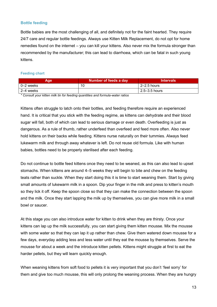#### <span id="page-13-0"></span>**Bottle feeding**

Bottle babies are the most challenging of all, and definitely not for the faint hearted. They require 24/7 care and regular bottle feedings. Always use Kitten Milk Replacement, do not opt for home remedies found on the internet – you can kill your kittens. Also never mix the formula stronger than recommended by the manufacturer; this can lead to diarrhoea, which can be fatal in such young kittens.

#### **Feeding chart**

| Age <sup>r</sup> | Number of feeds a day | <b>Intervals</b>  |
|------------------|-----------------------|-------------------|
| 0–2 weeks        | 10                    | $2-2.5$ hours     |
| 2–4 weeks        |                       | $2.5 - 3.5$ hours |

*\* Consult your kitten milk tin for feeding quantities and formula-water ratios*

Kittens often struggle to latch onto their bottles, and feeding therefore require an experienced hand. It is critical that you stick with the feeding regime, as kittens can dehydrate and their blood sugar will fall, both of which can lead to serious damage or even death. Overfeeding is just as dangerous. As a rule of thumb, rather underfeed than overfeed and feed more often. Also never hold kittens on their backs while feeding. Kittens nurse naturally on their tummies. Always feed lukewarm milk and through away whatever is left. Do not reuse old formula. Like with human babies, bottles need to be properly sterilised after each feeding.

Do not continue to bottle feed kittens once they need to be weaned, as this can also lead to upset stomachs. When kittens are around 4–5 weeks they will begin to bite and chew on the feeding teats rather than suckle. When they start doing this it is time to start weaning them. Start by giving small amounts of lukewarm milk in a spoon. Dip your finger in the milk and press to kitten's mouth so they lick it off. Keep the spoon close so that they can make the connection between the spoon and the milk. Once they start lapping the milk up by themselves, you can give more milk in a small bowl or saucer.

At this stage you can also introduce water for kitten to drink when they are thirsty. Once your kittens can lap up the milk successfully, you can start giving them kitten mousse. Mix the mousse with some water so that they can lap it up rather than chew. Give them watered down mousse for a few days, everyday adding less and less water until they eat the mousse by themselves. Serve the mousse for about a week and the introduce kitten pellets. Kittens might struggle at first to eat the harder pellets, but they will learn quickly enough.

When weaning kittens from soft food to pellets it is very important that you don't 'feel sorry' for them and give too much mousse, this will only prolong the weaning process. When they are hungry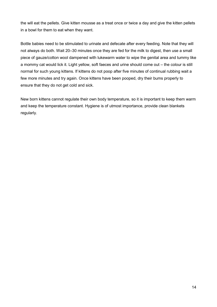the will eat the pellets. Give kitten mousse as a treat once or twice a day and give the kitten pellets in a bowl for them to eat when they want.

Bottle babies need to be stimulated to urinate and defecate after every feeding. Note that they will not always do both. Wait 20–30 minutes once they are fed for the milk to digest, then use a small piece of gauze/cotton wool dampened with lukewarm water to wipe the genital area and tummy like a mommy cat would lick it. Light yellow, soft faeces and urine should come out – the colour is still normal for such young kittens. If kittens do not poop after five minutes of continual rubbing wait a few more minutes and try again. Once kittens have been pooped, dry their bums properly to ensure that they do not get cold and sick.

New born kittens cannot regulate their own body temperature, so it is important to keep them warm and keep the temperature constant. Hygiene is of utmost importance, provide clean blankets regularly.